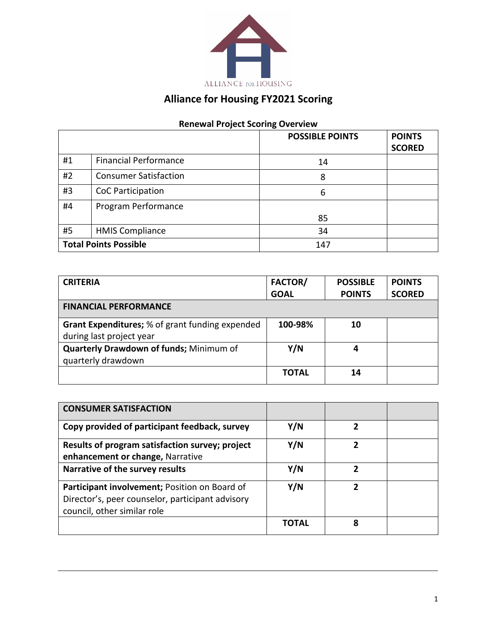

## **Alliance for Housing FY2021 Scoring**

## **Renewal Project Scoring Overview**

|                              |                              | <b>POSSIBLE POINTS</b> | <b>POINTS</b> |
|------------------------------|------------------------------|------------------------|---------------|
|                              |                              |                        | <b>SCORED</b> |
| #1                           | <b>Financial Performance</b> | 14                     |               |
| #2                           | <b>Consumer Satisfaction</b> | 8                      |               |
| #3                           | CoC Participation            | 6                      |               |
| #4                           | Program Performance          |                        |               |
|                              |                              | 85                     |               |
| #5                           | <b>HMIS Compliance</b>       | 34                     |               |
| <b>Total Points Possible</b> |                              | 147                    |               |

| <b>CRITERIA</b>                                        | <b>FACTOR/</b> | <b>POSSIBLE</b> | <b>POINTS</b> |
|--------------------------------------------------------|----------------|-----------------|---------------|
|                                                        | <b>GOAL</b>    | <b>POINTS</b>   | <b>SCORED</b> |
| <b>FINANCIAL PERFORMANCE</b>                           |                |                 |               |
| <b>Grant Expenditures;</b> % of grant funding expended | 100-98%        | 10              |               |
| during last project year                               |                |                 |               |
| Quarterly Drawdown of funds; Minimum of                | Y/N            | 4               |               |
| quarterly drawdown                                     |                |                 |               |
|                                                        | <b>TOTAL</b>   | 14              |               |

| <b>CONSUMER SATISFACTION</b>                                                                                                     |       |   |  |
|----------------------------------------------------------------------------------------------------------------------------------|-------|---|--|
| Copy provided of participant feedback, survey                                                                                    | Y/N   | 2 |  |
| Results of program satisfaction survey; project<br>enhancement or change, Narrative                                              | Y/N   | 2 |  |
| Narrative of the survey results                                                                                                  | Y/N   | 2 |  |
| Participant involvement; Position on Board of<br>Director's, peer counselor, participant advisory<br>council, other similar role | Y/N   |   |  |
|                                                                                                                                  | ΤΟΤΑΙ | 8 |  |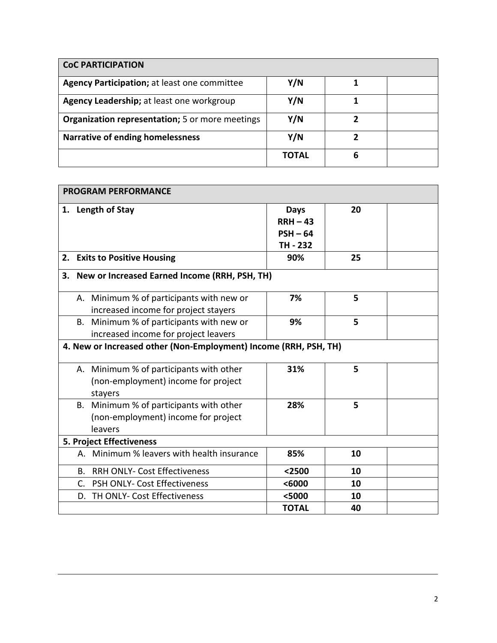| <b>CoC PARTICIPATION</b>                               |              |   |  |
|--------------------------------------------------------|--------------|---|--|
| Agency Participation; at least one committee           | Y/N          |   |  |
| Agency Leadership; at least one workgroup              | Y/N          |   |  |
| <b>Organization representation;</b> 5 or more meetings | Y/N          | 2 |  |
| <b>Narrative of ending homelessness</b>                | Y/N          | 2 |  |
|                                                        | <b>TOTAL</b> | 6 |  |

| <b>PROGRAM PERFORMANCE</b>                                       |                                                                                              |                                                     |    |  |
|------------------------------------------------------------------|----------------------------------------------------------------------------------------------|-----------------------------------------------------|----|--|
|                                                                  | 1. Length of Stay                                                                            | <b>Days</b><br>$RRH - 43$<br>$PSH - 64$<br>TH - 232 | 20 |  |
|                                                                  | 2. Exits to Positive Housing                                                                 | 90%                                                 | 25 |  |
| 3.                                                               | New or Increased Earned Income (RRH, PSH, TH)                                                |                                                     |    |  |
|                                                                  | A. Minimum % of participants with new or<br>increased income for project stayers             | 7%                                                  | 5  |  |
|                                                                  | B. Minimum % of participants with new or<br>increased income for project leavers             | 9%                                                  | 5  |  |
| 4. New or Increased other (Non-Employment) Income (RRH, PSH, TH) |                                                                                              |                                                     |    |  |
|                                                                  | A. Minimum % of participants with other<br>(non-employment) income for project<br>stayers    | 31%                                                 | 5  |  |
|                                                                  | Minimum % of participants with other<br>В.<br>(non-employment) income for project<br>leavers | 28%                                                 | 5  |  |
|                                                                  | <b>5. Project Effectiveness</b>                                                              |                                                     |    |  |
|                                                                  | Minimum % leavers with health insurance<br>А.                                                | 85%                                                 | 10 |  |
|                                                                  | <b>B. RRH ONLY- Cost Effectiveness</b>                                                       | $2500$                                              | 10 |  |
|                                                                  | C. PSH ONLY- Cost Effectiveness                                                              | $6000$                                              | 10 |  |
|                                                                  | TH ONLY- Cost Effectiveness<br>D.                                                            | <5000                                               | 10 |  |
|                                                                  |                                                                                              | <b>TOTAL</b>                                        | 40 |  |